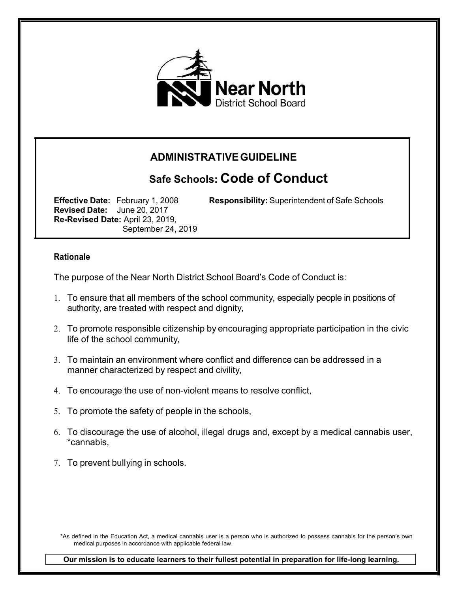

## **ADMINISTRATIVEGUIDELINE**

# **Safe Schools: Code of Conduct**

**Revised Date:** June 20, 2017 **Re-Revised Date:** April 23, 2019, September 24, 2019

**Effective Date:** February 1, 2008 **Responsibility:** Superintendent of Safe Schools

#### **Rationale**

The purpose of the Near North District School Board's Code of Conduct is:

- 1. To ensure that all members of the school community, especially people in positions of authority, are treated with respect and dignity,
- 2. To promote responsible citizenship by encouraging appropriate participation in the civic life of the school community,
- 3. To maintain an environment where conflict and difference can be addressed in a manner characterized by respect and civility,
- 4. To encourage the use of non-violent means to resolve conflict,
- 5. To promote the safety of people in the schools,
- 6. To discourage the use of alcohol, illegal drugs and, except by a medical cannabis user, \*cannabis,
- 7. To prevent bullying in schools.

\*As defined in the Education Act, a medical cannabis user is a person who is authorized to possess cannabis for the person's own medical purposes in accordance with applicable federal law.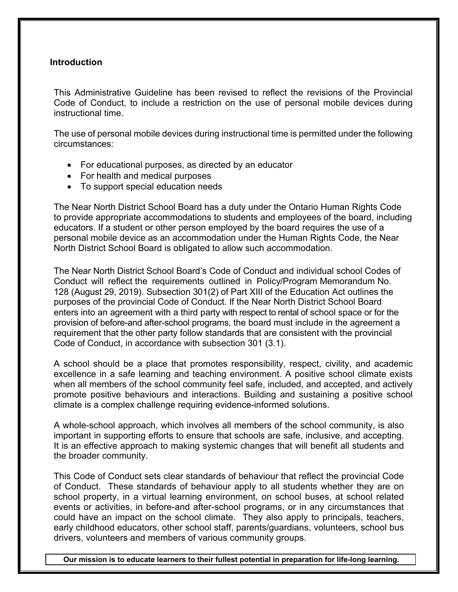#### **Introduction**

This Administrative Guideline has been revised to reflect the revisions of the Provincial Code of Conduct, to include a restriction on the use of personal mobile devices during instructional time.

The use of personal mobile devices during instructional time is permitted under the following circumstances:

- For educational purposes, as directed by an educator
- For health and medical purposes
- To support special education needs

The Near North District School Board has a duty under the Ontario Human Rights Code to provide appropriate accommodations to students and employees of the board, including educators. If a student or other person employed by the board requires the use of a personal mobile device as an accommodation under the Human Rights Code, the Near North District School Board is obligated to allow such accommodation.

The Near North District School Board's Code of Conduct and individual school Codes of Conduct will reflect the requirements outlined in Policy/Program Memorandum No. 128 (August 29, 2019). Subsection 301(2) of Part XIII of the Education Act outlines the purposes of the provincial Code of Conduct. If the Near North District School Board enters into an agreement with a third party with respect to rental of school space or for the provision of before-and after-school programs, the board must include in the agreement a requirement that the other party follow standards that are consistent with the provincial Code of Conduct, in accordance with subsection 301 (3.1).

A school should be a place that promotes responsibility, respect, civility, and academic excellence in a safe learning and teaching environment. A positive school climate exists when all members of the school community feel safe, included, and accepted, and actively promote positive behaviours and interactions. Building and sustaining a positive school climate is a complex challenge requiring evidence-informed solutions.

A whole-school approach, which involves all members of the school community, is also important in supporting efforts to ensure that schools are safe, inclusive, and accepting. It is an effective approach to making systemic changes that will benefit all students and the broader community.

This Code of Conduct sets clear standards of behaviour that reflect the provincial Code of Conduct. These standards of behaviour apply to all students whether they are on school property, in a virtual learning environment, on school buses, at school related events or activities, in before-and after-school programs, or in any circumstances that could have an impact on the school climate. They also apply to principals, teachers, early childhood educators, other school staff, parents/guardians, volunteers, school bus drivers, volunteers and members of various community groups.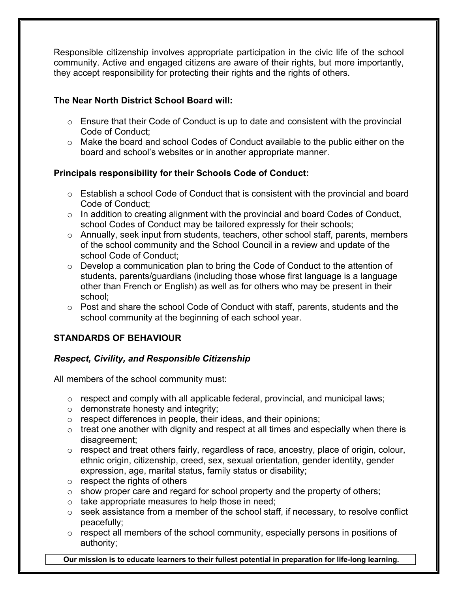Responsible citizenship involves appropriate participation in the civic life of the school community. Active and engaged citizens are aware of their rights, but more importantly, they accept responsibility for protecting their rights and the rights of others.

## **The Near North District School Board will:**

- $\circ$  Ensure that their Code of Conduct is up to date and consistent with the provincial Code of Conduct;
- o Make the board and school Codes of Conduct available to the public either on the board and school's websites or in another appropriate manner.

## **Principals responsibility for their Schools Code of Conduct:**

- $\circ$  Establish a school Code of Conduct that is consistent with the provincial and board Code of Conduct;
- $\circ$  In addition to creating alignment with the provincial and board Codes of Conduct, school Codes of Conduct may be tailored expressly for their schools;
- o Annually, seek input from students, teachers, other school staff, parents, members of the school community and the School Council in a review and update of the school Code of Conduct;
- $\circ$  Develop a communication plan to bring the Code of Conduct to the attention of students, parents/guardians (including those whose first language is a language other than French or English) as well as for others who may be present in their school;
- $\circ$  Post and share the school Code of Conduct with staff, parents, students and the school community at the beginning of each school year.

## **STANDARDS OF BEHAVIOUR**

## *Respect, Civility, and Responsible Citizenship*

All members of the school community must:

- o respect and comply with all applicable federal, provincial, and municipal laws;
- o demonstrate honesty and integrity;
- o respect differences in people, their ideas, and their opinions;
- $\circ$  treat one another with dignity and respect at all times and especially when there is disagreement;
- o respect and treat others fairly, regardless of race, ancestry, place of origin, colour, ethnic origin, citizenship, creed, sex, sexual orientation, gender identity, gender expression, age, marital status, family status or disability;
- $\circ$  respect the rights of others
- $\circ$  show proper care and regard for school property and the property of others;
- $\circ$  take appropriate measures to help those in need;
- $\circ$  seek assistance from a member of the school staff, if necessary, to resolve conflict peacefully;
- $\circ$  respect all members of the school community, especially persons in positions of authority;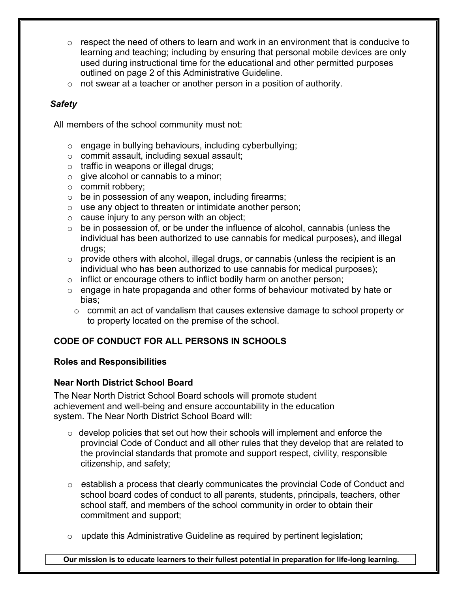- $\circ$  respect the need of others to learn and work in an environment that is conducive to learning and teaching; including by ensuring that personal mobile devices are only used during instructional time for the educational and other permitted purposes outlined on page 2 of this Administrative Guideline.
- $\circ$  not swear at a teacher or another person in a position of authority.

## *Safety*

All members of the school community must not:

- o engage in bullying behaviours, including cyberbullying;
- o commit assault, including sexual assault;
- o traffic in weapons or illegal drugs;
- o give alcohol or cannabis to a minor;
- o commit robbery;
- o be in possession of any weapon, including firearms;
- o use any object to threaten or intimidate another person;
- $\circ$  cause injury to any person with an object;
- $\circ$  be in possession of, or be under the influence of alcohol, cannabis (unless the individual has been authorized to use cannabis for medical purposes), and illegal drugs;
- o provide others with alcohol, illegal drugs, or cannabis (unless the recipient is an individual who has been authorized to use cannabis for medical purposes);
- $\circ$  inflict or encourage others to inflict bodily harm on another person;
- $\circ$  engage in hate propaganda and other forms of behaviour motivated by hate or bias;
	- $\circ$  commit an act of vandalism that causes extensive damage to school property or to property located on the premise of the school.

## **CODE OF CONDUCT FOR ALL PERSONS IN SCHOOLS**

## **Roles and Responsibilities**

## **Near North District School Board**

The Near North District School Board schools will promote student achievement and well-being and ensure accountability in the education system. The Near North District School Board will:

- $\circ$  develop policies that set out how their schools will implement and enforce the provincial Code of Conduct and all other rules that they develop that are related to the provincial standards that promote and support respect, civility, responsible citizenship, and safety;
- o establish a process that clearly communicates the provincial Code of Conduct and school board codes of conduct to all parents, students, principals, teachers, other school staff, and members of the school community in order to obtain their commitment and support;
- $\circ$  update this Administrative Guideline as required by pertinent legislation;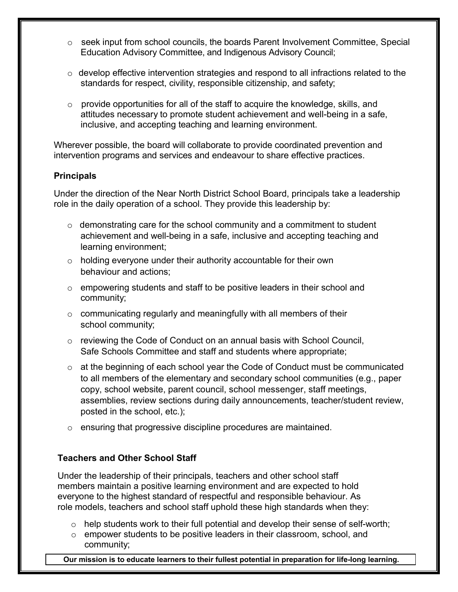- o seek input from school councils, the boards Parent Involvement Committee, Special Education Advisory Committee, and Indigenous Advisory Council;
- $\circ$  develop effective intervention strategies and respond to all infractions related to the standards for respect, civility, responsible citizenship, and safety;
- $\circ$  provide opportunities for all of the staff to acquire the knowledge, skills, and attitudes necessary to promote student achievement and well-being in a safe, inclusive, and accepting teaching and learning environment.

Wherever possible, the board will collaborate to provide coordinated prevention and intervention programs and services and endeavour to share effective practices.

### **Principals**

Under the direction of the Near North District School Board, principals take a leadership role in the daily operation of a school. They provide this leadership by:

- $\circ$  demonstrating care for the school community and a commitment to student achievement and well-being in a safe, inclusive and accepting teaching and learning environment;
- $\circ$  holding everyone under their authority accountable for their own behaviour and actions;
- o empowering students and staff to be positive leaders in their school and community;
- $\circ$  communicating regularly and meaningfully with all members of their school community;
- $\circ$  reviewing the Code of Conduct on an annual basis with School Council, Safe Schools Committee and staff and students where appropriate;
- $\circ$  at the beginning of each school year the Code of Conduct must be communicated to all members of the elementary and secondary school communities (e.g., paper copy, school website, parent council, school messenger, staff meetings, assemblies, review sections during daily announcements, teacher/student review, posted in the school, etc.);
- o ensuring that progressive discipline procedures are maintained.

## **Teachers and Other School Staff**

Under the leadership of their principals, teachers and other school staff members maintain a positive learning environment and are expected to hold everyone to the highest standard of respectful and responsible behaviour. As role models, teachers and school staff uphold these high standards when they:

- $\circ$  help students work to their full potential and develop their sense of self-worth;
- o empower students to be positive leaders in their classroom, school, and community;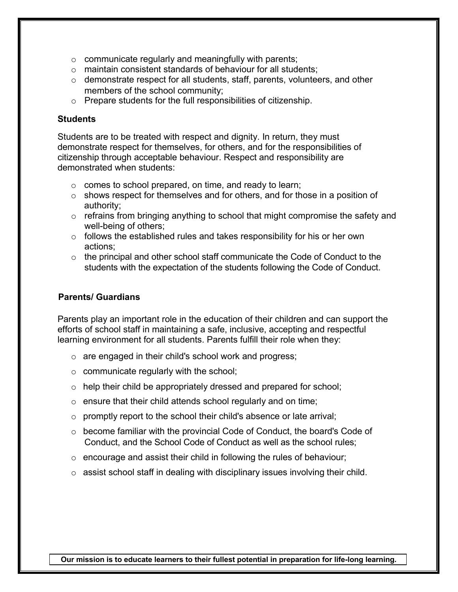- $\circ$  communicate regularly and meaningfully with parents;
- o maintain consistent standards of behaviour for all students;
- o demonstrate respect for all students, staff, parents, volunteers, and other members of the school community;
- o Prepare students for the full responsibilities of citizenship.

#### **Students**

Students are to be treated with respect and dignity. In return, they must demonstrate respect for themselves, for others, and for the responsibilities of citizenship through acceptable behaviour. Respect and responsibility are demonstrated when students:

- o comes to school prepared, on time, and ready to learn;
- o shows respect for themselves and for others, and for those in a position of authority;
- $\circ$  refrains from bringing anything to school that might compromise the safety and well-being of others;
- $\circ$  follows the established rules and takes responsibility for his or her own actions;
- $\circ$  the principal and other school staff communicate the Code of Conduct to the students with the expectation of the students following the Code of Conduct.

## **Parents/ Guardians**

Parents play an important role in the education of their children and can support the efforts of school staff in maintaining a safe, inclusive, accepting and respectful learning environment for all students. Parents fulfill their role when they:

- o are engaged in their child's school work and progress;
- o communicate regularly with the school;
- $\circ$  help their child be appropriately dressed and prepared for school;
- o ensure that their child attends school regularly and on time;
- o promptly report to the school their child's absence or late arrival;
- o become familiar with the provincial Code of Conduct, the board's Code of Conduct, and the School Code of Conduct as well as the school rules;
- $\circ$  encourage and assist their child in following the rules of behaviour;
- o assist school staff in dealing with disciplinary issues involving their child.